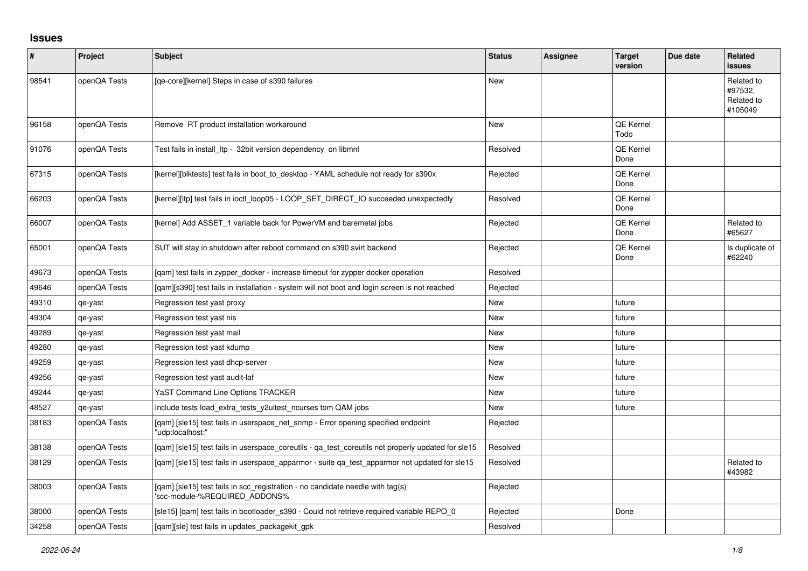## **Issues**

| $\pmb{\#}$ | Project      | <b>Subject</b>                                                                                                  | <b>Status</b> | <b>Assignee</b> | <b>Target</b><br>version | Due date | Related<br><b>issues</b>                       |
|------------|--------------|-----------------------------------------------------------------------------------------------------------------|---------------|-----------------|--------------------------|----------|------------------------------------------------|
| 98541      | openQA Tests | [qe-core][kernel] Steps in case of s390 failures                                                                | <b>New</b>    |                 |                          |          | Related to<br>#97532.<br>Related to<br>#105049 |
| 96158      | openQA Tests | Remove RT product installation workaround                                                                       | <b>New</b>    |                 | QE Kernel<br>Todo        |          |                                                |
| 91076      | openQA Tests | Test fails in install Itp - 32bit version dependency on libmnl                                                  | Resolved      |                 | QE Kernel<br>Done        |          |                                                |
| 67315      | openQA Tests | [kernel][blktests] test fails in boot_to_desktop - YAML schedule not ready for s390x                            | Rejected      |                 | QE Kernel<br>Done        |          |                                                |
| 66203      | openQA Tests | [kernel][ltp] test fails in ioctl_loop05 - LOOP_SET_DIRECT_IO succeeded unexpectedly                            | Resolved      |                 | QE Kernel<br>Done        |          |                                                |
| 66007      | openQA Tests | [kernel] Add ASSET_1 variable back for PowerVM and baremetal jobs                                               | Rejected      |                 | QE Kernel<br>Done        |          | Related to<br>#65627                           |
| 65001      | openQA Tests | SUT will stay in shutdown after reboot command on s390 svirt backend                                            | Rejected      |                 | QE Kernel<br>Done        |          | Is duplicate of<br>#62240                      |
| 49673      | openQA Tests | [gam] test fails in zypper docker - increase timeout for zypper docker operation                                | Resolved      |                 |                          |          |                                                |
| 49646      | openQA Tests | [qam][s390] test fails in installation - system will not boot and login screen is not reached                   | Rejected      |                 |                          |          |                                                |
| 49310      | qe-yast      | Regression test yast proxy                                                                                      | <b>New</b>    |                 | future                   |          |                                                |
| 49304      | qe-yast      | Regression test yast nis                                                                                        | <b>New</b>    |                 | future                   |          |                                                |
| 49289      | qe-yast      | Regression test yast mail                                                                                       | <b>New</b>    |                 | future                   |          |                                                |
| 49280      | qe-yast      | Regression test yast kdump                                                                                      | New           |                 | future                   |          |                                                |
| 49259      | qe-yast      | Regression test yast dhcp-server                                                                                | New           |                 | future                   |          |                                                |
| 49256      | qe-yast      | Regression test yast audit-laf                                                                                  | <b>New</b>    |                 | future                   |          |                                                |
| 49244      | qe-yast      | YaST Command Line Options TRACKER                                                                               | New           |                 | future                   |          |                                                |
| 48527      | qe-yast      | Include tests load_extra_tests_y2uitest_ncurses tom QAM jobs                                                    | <b>New</b>    |                 | future                   |          |                                                |
| 38183      | openQA Tests | [gam] [sle15] test fails in userspace net snmp - Error opening specified endpoint<br>'udp:localhost:"           | Rejected      |                 |                          |          |                                                |
| 38138      | openQA Tests | [qam] [sle15] test fails in userspace_coreutils - qa_test_coreutils not properly updated for sle15              | Resolved      |                 |                          |          |                                                |
| 38129      | openQA Tests | [gam] [sle15] test fails in userspace apparmor - suite ga test apparmor not updated for sle15                   | Resolved      |                 |                          |          | Related to<br>#43982                           |
| 38003      | openQA Tests | [qam] [sle15] test fails in scc_registration - no candidate needle with tag(s)<br>'scc-module-%REQUIRED_ADDONS% | Rejected      |                 |                          |          |                                                |
| 38000      | openQA Tests | [sle15] [gam] test fails in bootloader s390 - Could not retrieve required variable REPO 0                       | Rejected      |                 | Done                     |          |                                                |
| 34258      | openQA Tests | [gam][sle] test fails in updates packagekit gpk                                                                 | Resolved      |                 |                          |          |                                                |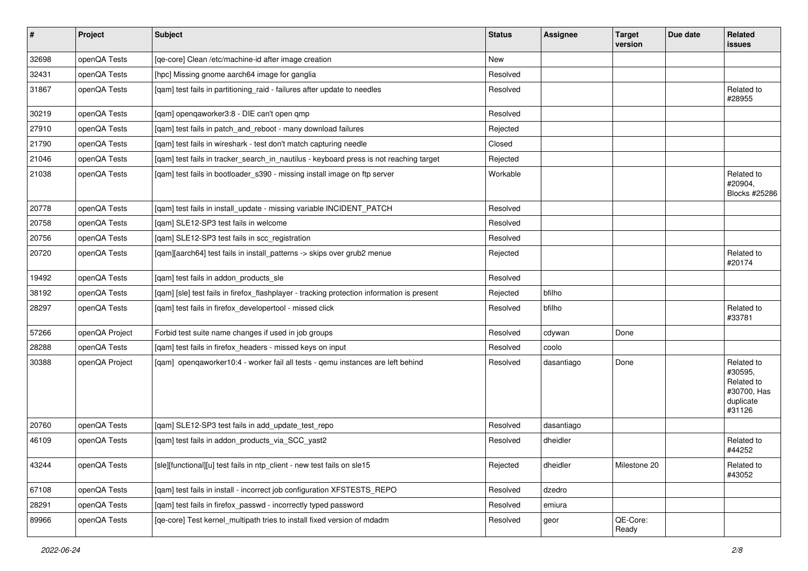| $\vert$ # | Project        | <b>Subject</b>                                                                             | <b>Status</b> | <b>Assignee</b> | <b>Target</b><br>version | Due date | Related<br><b>issues</b>                                                  |
|-----------|----------------|--------------------------------------------------------------------------------------------|---------------|-----------------|--------------------------|----------|---------------------------------------------------------------------------|
| 32698     | openQA Tests   | [qe-core] Clean /etc/machine-id after image creation                                       | New           |                 |                          |          |                                                                           |
| 32431     | openQA Tests   | [hpc] Missing gnome aarch64 image for ganglia                                              | Resolved      |                 |                          |          |                                                                           |
| 31867     | openQA Tests   | [qam] test fails in partitioning_raid - failures after update to needles                   | Resolved      |                 |                          |          | Related to<br>#28955                                                      |
| 30219     | openQA Tests   | [qam] openqaworker3:8 - DIE can't open qmp                                                 | Resolved      |                 |                          |          |                                                                           |
| 27910     | openQA Tests   | [qam] test fails in patch_and_reboot - many download failures                              | Rejected      |                 |                          |          |                                                                           |
| 21790     | openQA Tests   | [qam] test fails in wireshark - test don't match capturing needle                          | Closed        |                 |                          |          |                                                                           |
| 21046     | openQA Tests   | [qam] test fails in tracker_search_in_nautilus - keyboard press is not reaching target     | Rejected      |                 |                          |          |                                                                           |
| 21038     | openQA Tests   | [qam] test fails in bootloader_s390 - missing install image on ftp server                  | Workable      |                 |                          |          | Related to<br>#20904,<br>Blocks #25286                                    |
| 20778     | openQA Tests   | [qam] test fails in install_update - missing variable INCIDENT_PATCH                       | Resolved      |                 |                          |          |                                                                           |
| 20758     | openQA Tests   | [qam] SLE12-SP3 test fails in welcome                                                      | Resolved      |                 |                          |          |                                                                           |
| 20756     | openQA Tests   | [qam] SLE12-SP3 test fails in scc_registration                                             | Resolved      |                 |                          |          |                                                                           |
| 20720     | openQA Tests   | [qam][aarch64] test fails in install_patterns -> skips over grub2 menue                    | Rejected      |                 |                          |          | Related to<br>#20174                                                      |
| 19492     | openQA Tests   | [qam] test fails in addon_products_sle                                                     | Resolved      |                 |                          |          |                                                                           |
| 38192     | openQA Tests   | [qam] [sle] test fails in firefox_flashplayer - tracking protection information is present | Rejected      | bfilho          |                          |          |                                                                           |
| 28297     | openQA Tests   | [qam] test fails in firefox_developertool - missed click                                   | Resolved      | bfilho          |                          |          | Related to<br>#33781                                                      |
| 57266     | openQA Project | Forbid test suite name changes if used in job groups                                       | Resolved      | cdywan          | Done                     |          |                                                                           |
| 28288     | openQA Tests   | [qam] test fails in firefox_headers - missed keys on input                                 | Resolved      | coolo           |                          |          |                                                                           |
| 30388     | openQA Project | [qam] openqaworker10:4 - worker fail all tests - qemu instances are left behind            | Resolved      | dasantiago      | Done                     |          | Related to<br>#30595,<br>Related to<br>#30700, Has<br>duplicate<br>#31126 |
| 20760     | openQA Tests   | [qam] SLE12-SP3 test fails in add_update_test_repo                                         | Resolved      | dasantiago      |                          |          |                                                                           |
| 46109     | openQA Tests   | [qam] test fails in addon_products_via_SCC_yast2                                           | Resolved      | dheidler        |                          |          | Related to<br>#44252                                                      |
| 43244     | openQA Tests   | [sle][functional][u] test fails in ntp_client - new test fails on sle15                    | Rejected      | dheidler        | Milestone 20             |          | Related to<br>#43052                                                      |
| 67108     | openQA Tests   | [gam] test fails in install - incorrect job configuration XFSTESTS REPO                    | Resolved      | dzedro          |                          |          |                                                                           |
| 28291     | openQA Tests   | [qam] test fails in firefox_passwd - incorrectly typed password                            | Resolved      | emiura          |                          |          |                                                                           |
| 89966     | openQA Tests   | [qe-core] Test kernel_multipath tries to install fixed version of mdadm                    | Resolved      | geor            | QE-Core:<br>Ready        |          |                                                                           |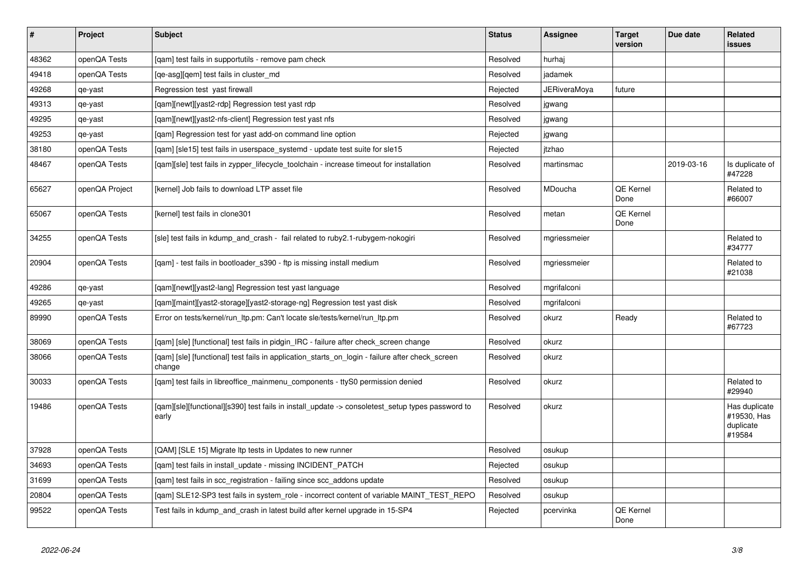| $\vert$ # | <b>Project</b> | <b>Subject</b>                                                                                            | <b>Status</b> | <b>Assignee</b> | <b>Target</b><br>version | Due date   | <b>Related</b><br>issues                            |
|-----------|----------------|-----------------------------------------------------------------------------------------------------------|---------------|-----------------|--------------------------|------------|-----------------------------------------------------|
| 48362     | openQA Tests   | [qam] test fails in supportutils - remove pam check                                                       | Resolved      | hurhaj          |                          |            |                                                     |
| 49418     | openQA Tests   | [qe-asg][qem] test fails in cluster_md                                                                    | Resolved      | jadamek         |                          |            |                                                     |
| 49268     | qe-yast        | Regression test yast firewall                                                                             | Rejected      | JERiveraMoya    | future                   |            |                                                     |
| 49313     | qe-yast        | [gam][newt][yast2-rdp] Regression test yast rdp                                                           | Resolved      | jgwang          |                          |            |                                                     |
| 49295     | qe-yast        | [gam][newt][yast2-nfs-client] Regression test yast nfs                                                    | Resolved      | jgwang          |                          |            |                                                     |
| 49253     | qe-yast        | [qam] Regression test for yast add-on command line option                                                 | Rejected      | jgwang          |                          |            |                                                     |
| 38180     | openQA Tests   | [qam] [sle15] test fails in userspace_systemd - update test suite for sle15                               | Rejected      | itzhao          |                          |            |                                                     |
| 48467     | openQA Tests   | [qam][sle] test fails in zypper_lifecycle_toolchain - increase timeout for installation                   | Resolved      | martinsmac      |                          | 2019-03-16 | Is duplicate of<br>#47228                           |
| 65627     | openQA Project | [kernel] Job fails to download LTP asset file                                                             | Resolved      | MDoucha         | QE Kernel<br>Done        |            | Related to<br>#66007                                |
| 65067     | openQA Tests   | [kernel] test fails in clone301                                                                           | Resolved      | metan           | QE Kernel<br>Done        |            |                                                     |
| 34255     | openQA Tests   | [sle] test fails in kdump and crash - fail related to ruby2.1-rubygem-nokogiri                            | Resolved      | mgriessmeier    |                          |            | Related to<br>#34777                                |
| 20904     | openQA Tests   | [gam] - test fails in bootloader s390 - ftp is missing install medium                                     | Resolved      | mgriessmeier    |                          |            | Related to<br>#21038                                |
| 49286     | qe-yast        | [gam][newt][yast2-lang] Regression test yast language                                                     | Resolved      | mgrifalconi     |                          |            |                                                     |
| 49265     | qe-yast        | [qam][maint][yast2-storage][yast2-storage-ng] Regression test yast disk                                   | Resolved      | mgrifalconi     |                          |            |                                                     |
| 89990     | openQA Tests   | Error on tests/kernel/run_ltp.pm: Can't locate sle/tests/kernel/run_ltp.pm                                | Resolved      | okurz           | Ready                    |            | Related to<br>#67723                                |
| 38069     | openQA Tests   | [qam] [sle] [functional] test fails in pidgin_IRC - failure after check_screen change                     | Resolved      | okurz           |                          |            |                                                     |
| 38066     | openQA Tests   | [qam] [sle] [functional] test fails in application_starts_on_login - failure after check_screen<br>change | Resolved      | okurz           |                          |            |                                                     |
| 30033     | openQA Tests   | [gam] test fails in libreoffice mainmenu components - ttyS0 permission denied                             | Resolved      | okurz           |                          |            | Related to<br>#29940                                |
| 19486     | openQA Tests   | [qam][sle][functional][s390] test fails in install_update -> consoletest_setup types password to<br>early | Resolved      | okurz           |                          |            | Has duplicate<br>#19530, Has<br>duplicate<br>#19584 |
| 37928     | openQA Tests   | [QAM] [SLE 15] Migrate Itp tests in Updates to new runner                                                 | Resolved      | osukup          |                          |            |                                                     |
| 34693     | openQA Tests   | [gam] test fails in install update - missing INCIDENT PATCH                                               | Rejected      | osukup          |                          |            |                                                     |
| 31699     | openQA Tests   | [gam] test fails in scc registration - failing since scc addons update                                    | Resolved      | osukup          |                          |            |                                                     |
| 20804     | openQA Tests   | [gam] SLE12-SP3 test fails in system_role - incorrect content of variable MAINT_TEST_REPO                 | Resolved      | osukup          |                          |            |                                                     |
| 99522     | openQA Tests   | Test fails in kdump_and_crash in latest build after kernel upgrade in 15-SP4                              | Rejected      | pcervinka       | QE Kernel<br>Done        |            |                                                     |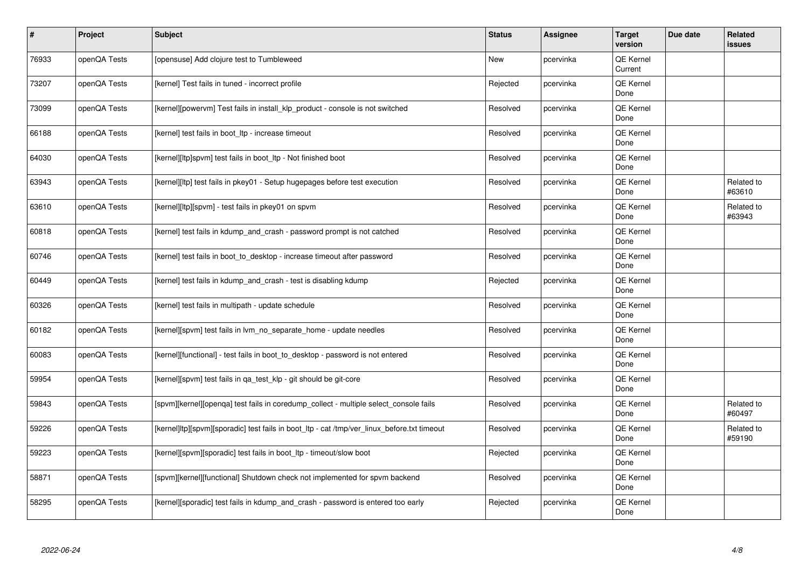| $\sharp$ | Project      | Subject                                                                                     | <b>Status</b> | <b>Assignee</b> | <b>Target</b><br>version    | Due date | Related<br><b>issues</b> |
|----------|--------------|---------------------------------------------------------------------------------------------|---------------|-----------------|-----------------------------|----------|--------------------------|
| 76933    | openQA Tests | [opensuse] Add clojure test to Tumbleweed                                                   | New           | pcervinka       | <b>QE Kernel</b><br>Current |          |                          |
| 73207    | openQA Tests | [kernel] Test fails in tuned - incorrect profile                                            | Rejected      | pcervinka       | QE Kernel<br>Done           |          |                          |
| 73099    | openQA Tests | [kernel][powervm] Test fails in install klp product - console is not switched               | Resolved      | pcervinka       | QE Kernel<br>Done           |          |                          |
| 66188    | openQA Tests | [kernel] test fails in boot Itp - increase timeout                                          | Resolved      | pcervinka       | QE Kernel<br>Done           |          |                          |
| 64030    | openQA Tests | [kernel][ltp]spvm] test fails in boot Itp - Not finished boot                               | Resolved      | pcervinka       | <b>QE Kernel</b><br>Done    |          |                          |
| 63943    | openQA Tests | [kernel][ltp] test fails in pkey01 - Setup hugepages before test execution                  | Resolved      | pcervinka       | QE Kernel<br>Done           |          | Related to<br>#63610     |
| 63610    | openQA Tests | [kernel][ltp][spvm] - test fails in pkey01 on spvm                                          | Resolved      | pcervinka       | QE Kernel<br>Done           |          | Related to<br>#63943     |
| 60818    | openQA Tests | [kernel] test fails in kdump and crash - password prompt is not catched                     | Resolved      | pcervinka       | QE Kernel<br>Done           |          |                          |
| 60746    | openQA Tests | [kernel] test fails in boot to desktop - increase timeout after password                    | Resolved      | pcervinka       | <b>QE Kernel</b><br>Done    |          |                          |
| 60449    | openQA Tests | [kernel] test fails in kdump and crash - test is disabling kdump                            | Rejected      | pcervinka       | QE Kernel<br>Done           |          |                          |
| 60326    | openQA Tests | [kernel] test fails in multipath - update schedule                                          | Resolved      | pcervinka       | QE Kernel<br>Done           |          |                          |
| 60182    | openQA Tests | [kernel][spvm] test fails in lvm_no_separate_home - update needles                          | Resolved      | pcervinka       | QE Kernel<br>Done           |          |                          |
| 60083    | openQA Tests | [kernel][functional] - test fails in boot to desktop - password is not entered              | Resolved      | pcervinka       | <b>QE Kernel</b><br>Done    |          |                          |
| 59954    | openQA Tests | [kernel][spvm] test fails in qa_test_klp - git should be git-core                           | Resolved      | pcervinka       | QE Kernel<br>Done           |          |                          |
| 59843    | openQA Tests | [spvm][kernel][openga] test fails in coredump collect - multiple select console fails       | Resolved      | pcervinka       | <b>QE Kernel</b><br>Done    |          | Related to<br>#60497     |
| 59226    | openQA Tests | [kernel]ltp][spvm][sporadic] test fails in boot_ltp - cat /tmp/ver_linux_before.txt timeout | Resolved      | pcervinka       | QE Kernel<br>Done           |          | Related to<br>#59190     |
| 59223    | openQA Tests | [kernel][spvm][sporadic] test fails in boot ltp - timeout/slow boot                         | Rejected      | pcervinka       | <b>QE Kernel</b><br>Done    |          |                          |
| 58871    | openQA Tests | [spvm][kernel][functional] Shutdown check not implemented for spvm backend                  | Resolved      | pcervinka       | QE Kernel<br>Done           |          |                          |
| 58295    | openQA Tests | [kernel][sporadic] test fails in kdump and crash - password is entered too early            | Rejected      | pcervinka       | QE Kernel<br>Done           |          |                          |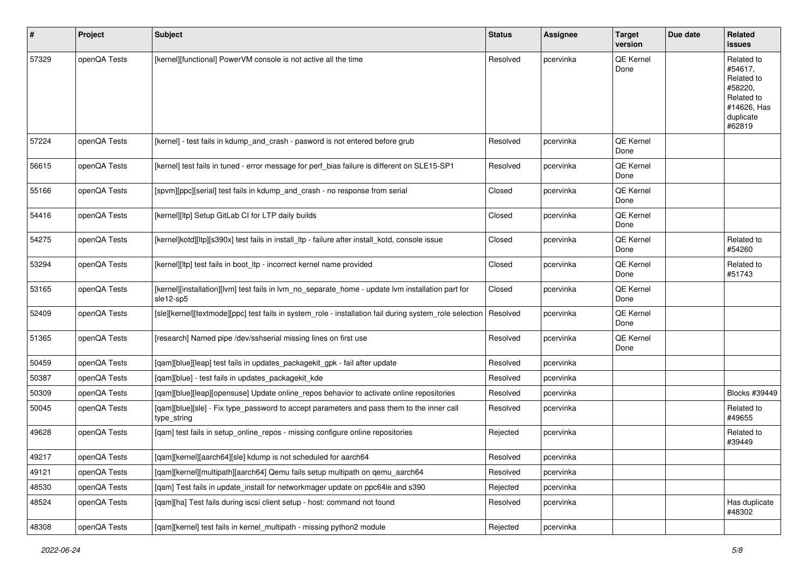| #     | Project      | Subject                                                                                                        | <b>Status</b> | Assignee  | <b>Target</b><br>version | Due date | Related<br>issues                                                                                  |
|-------|--------------|----------------------------------------------------------------------------------------------------------------|---------------|-----------|--------------------------|----------|----------------------------------------------------------------------------------------------------|
| 57329 | openQA Tests | [kernel][functional] PowerVM console is not active all the time                                                | Resolved      | pcervinka | QE Kernel<br>Done        |          | Related to<br>#54617.<br>Related to<br>#58220,<br>Related to<br>#14626, Has<br>duplicate<br>#62819 |
| 57224 | openQA Tests | [kernel] - test fails in kdump_and_crash - pasword is not entered before grub                                  | Resolved      | pcervinka | QE Kernel<br>Done        |          |                                                                                                    |
| 56615 | openQA Tests | [kernel] test fails in tuned - error message for perf_bias failure is different on SLE15-SP1                   | Resolved      | pcervinka | QE Kernel<br>Done        |          |                                                                                                    |
| 55166 | openQA Tests | [spvm][ppc][serial] test fails in kdump_and_crash - no response from serial                                    | Closed        | pcervinka | QE Kernel<br>Done        |          |                                                                                                    |
| 54416 | openQA Tests | [kernel][ltp] Setup GitLab CI for LTP daily builds                                                             | Closed        | pcervinka | QE Kernel<br>Done        |          |                                                                                                    |
| 54275 | openQA Tests | [kernel]kotd][ltp][s390x] test fails in install_ltp - failure after install_kotd, console issue                | Closed        | pcervinka | QE Kernel<br>Done        |          | Related to<br>#54260                                                                               |
| 53294 | openQA Tests | [kernel][ltp] test fails in boot ltp - incorrect kernel name provided                                          | Closed        | pcervinka | QE Kernel<br>Done        |          | Related to<br>#51743                                                                               |
| 53165 | openQA Tests | [kernel][installation][lvm] test fails in lvm_no_separate_home - update lvm installation part for<br>sle12-sp5 | Closed        | pcervinka | QE Kernel<br>Done        |          |                                                                                                    |
| 52409 | openQA Tests | [sle][kernel][textmode][ppc] test fails in system_role - installation fail during system_role selection        | Resolved      | pcervinka | QE Kernel<br>Done        |          |                                                                                                    |
| 51365 | openQA Tests | [research] Named pipe /dev/sshserial missing lines on first use                                                | Resolved      | pcervinka | QE Kernel<br>Done        |          |                                                                                                    |
| 50459 | openQA Tests | [qam][blue][leap] test fails in updates_packagekit_gpk - fail after update                                     | Resolved      | pcervinka |                          |          |                                                                                                    |
| 50387 | openQA Tests | [qam][blue] - test fails in updates_packagekit_kde                                                             | Resolved      | pcervinka |                          |          |                                                                                                    |
| 50309 | openQA Tests | [qam][blue][leap][opensuse] Update online_repos behavior to activate online repositories                       | Resolved      | pcervinka |                          |          | Blocks #39449                                                                                      |
| 50045 | openQA Tests | [qam][blue][sle] - Fix type_password to accept parameters and pass them to the inner call<br>type_string       | Resolved      | pcervinka |                          |          | Related to<br>#49655                                                                               |
| 49628 | openQA Tests | [qam] test fails in setup_online_repos - missing configure online repositories                                 | Rejected      | pcervinka |                          |          | Related to<br>#39449                                                                               |
| 49217 | openQA Tests | [qam][kernel][aarch64][sle] kdump is not scheduled for aarch64                                                 | Resolved      | pcervinka |                          |          |                                                                                                    |
| 49121 | openQA Tests | [qam][kernel][multipath][aarch64] Qemu fails setup multipath on qemu_aarch64                                   | Resolved      | pcervinka |                          |          |                                                                                                    |
| 48530 | openQA Tests | [gam] Test fails in update install for networkmager update on ppc64le and s390                                 | Rejected      | pcervinka |                          |          |                                                                                                    |
| 48524 | openQA Tests | [gam][ha] Test fails during iscsi client setup - host: command not found                                       | Resolved      | pcervinka |                          |          | Has duplicate<br>#48302                                                                            |
| 48308 | openQA Tests | [qam][kernel] test fails in kernel_multipath - missing python2 module                                          | Rejected      | pcervinka |                          |          |                                                                                                    |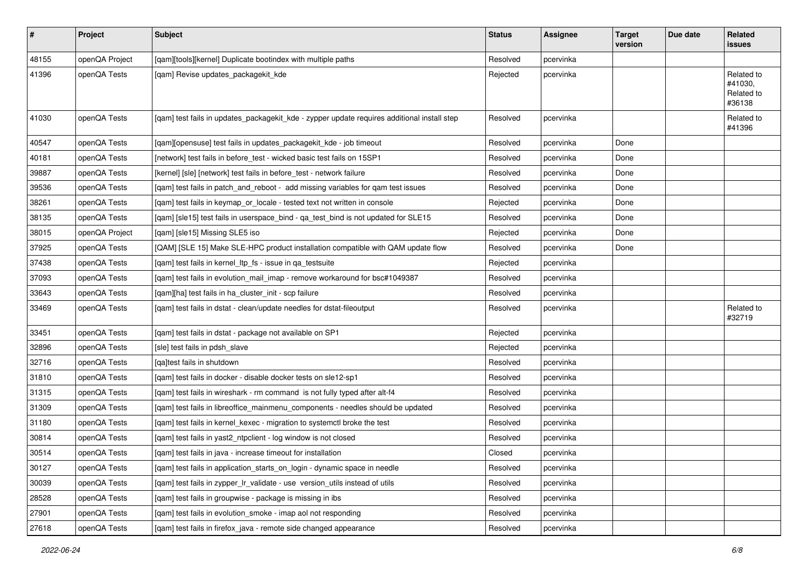| $\sharp$ | Project        | <b>Subject</b>                                                                              | <b>Status</b> | <b>Assignee</b> | <b>Target</b><br>version | Due date | Related<br>issues                             |
|----------|----------------|---------------------------------------------------------------------------------------------|---------------|-----------------|--------------------------|----------|-----------------------------------------------|
| 48155    | openQA Project | [qam][tools][kernel] Duplicate bootindex with multiple paths                                | Resolved      | pcervinka       |                          |          |                                               |
| 41396    | openQA Tests   | [qam] Revise updates_packagekit_kde                                                         | Rejected      | pcervinka       |                          |          | Related to<br>#41030,<br>Related to<br>#36138 |
| 41030    | openQA Tests   | [qam] test fails in updates_packagekit_kde - zypper update requires additional install step | Resolved      | pcervinka       |                          |          | Related to<br>#41396                          |
| 40547    | openQA Tests   | [qam][opensuse] test fails in updates_packagekit_kde - job timeout                          | Resolved      | pcervinka       | Done                     |          |                                               |
| 40181    | openQA Tests   | [network] test fails in before_test - wicked basic test fails on 15SP1                      | Resolved      | pcervinka       | Done                     |          |                                               |
| 39887    | openQA Tests   | [kernel] [sle] [network] test fails in before_test - network failure                        | Resolved      | pcervinka       | Done                     |          |                                               |
| 39536    | openQA Tests   | [qam] test fails in patch_and_reboot - add missing variables for qam test issues            | Resolved      | pcervinka       | Done                     |          |                                               |
| 38261    | openQA Tests   | [qam] test fails in keymap_or_locale - tested text not written in console                   | Rejected      | pcervinka       | Done                     |          |                                               |
| 38135    | openQA Tests   | [qam] [sle15] test fails in userspace_bind - qa_test_bind is not updated for SLE15          | Resolved      | pcervinka       | Done                     |          |                                               |
| 38015    | openQA Project | [qam] [sle15] Missing SLE5 iso                                                              | Rejected      | pcervinka       | Done                     |          |                                               |
| 37925    | openQA Tests   | [QAM] [SLE 15] Make SLE-HPC product installation compatible with QAM update flow            | Resolved      | pcervinka       | Done                     |          |                                               |
| 37438    | openQA Tests   | [qam] test fails in kernel_ltp_fs - issue in qa_testsuite                                   | Rejected      | pcervinka       |                          |          |                                               |
| 37093    | openQA Tests   | [qam] test fails in evolution_mail_imap - remove workaround for bsc#1049387                 | Resolved      | pcervinka       |                          |          |                                               |
| 33643    | openQA Tests   | [gam][ha] test fails in ha cluster init - scp failure                                       | Resolved      | pcervinka       |                          |          |                                               |
| 33469    | openQA Tests   | [qam] test fails in dstat - clean/update needles for dstat-fileoutput                       | Resolved      | pcervinka       |                          |          | Related to<br>#32719                          |
| 33451    | openQA Tests   | [qam] test fails in dstat - package not available on SP1                                    | Rejected      | pcervinka       |                          |          |                                               |
| 32896    | openQA Tests   | [sle] test fails in pdsh_slave                                                              | Rejected      | pcervinka       |                          |          |                                               |
| 32716    | openQA Tests   | [ga]test fails in shutdown                                                                  | Resolved      | pcervinka       |                          |          |                                               |
| 31810    | openQA Tests   | [qam] test fails in docker - disable docker tests on sle12-sp1                              | Resolved      | pcervinka       |                          |          |                                               |
| 31315    | openQA Tests   | [qam] test fails in wireshark - rm command is not fully typed after alt-f4                  | Resolved      | pcervinka       |                          |          |                                               |
| 31309    | openQA Tests   | [qam] test fails in libreoffice_mainmenu_components - needles should be updated             | Resolved      | pcervinka       |                          |          |                                               |
| 31180    | openQA Tests   | [qam] test fails in kernel_kexec - migration to systemctl broke the test                    | Resolved      | pcervinka       |                          |          |                                               |
| 30814    | openQA Tests   | [qam] test fails in yast2_ntpclient - log window is not closed                              | Resolved      | pcervinka       |                          |          |                                               |
| 30514    | openQA Tests   | [gam] test fails in java - increase timeout for installation                                | Closed        | pcervinka       |                          |          |                                               |
| 30127    | openQA Tests   | [qam] test fails in application_starts_on_login - dynamic space in needle                   | Resolved      | pcervinka       |                          |          |                                               |
| 30039    | openQA Tests   | [qam] test fails in zypper_lr_validate - use version_utils instead of utils                 | Resolved      | pcervinka       |                          |          |                                               |
| 28528    | openQA Tests   | [qam] test fails in groupwise - package is missing in ibs                                   | Resolved      | pcervinka       |                          |          |                                               |
| 27901    | openQA Tests   | [qam] test fails in evolution_smoke - imap aol not responding                               | Resolved      | pcervinka       |                          |          |                                               |
| 27618    | openQA Tests   | [qam] test fails in firefox_java - remote side changed appearance                           | Resolved      | pcervinka       |                          |          |                                               |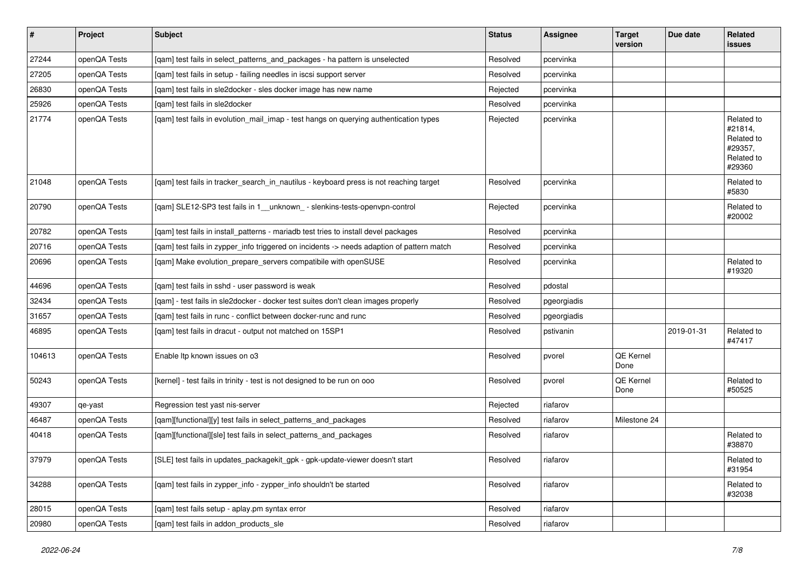| $\vert$ # | Project      | <b>Subject</b>                                                                            | <b>Status</b> | <b>Assignee</b> | <b>Target</b><br>version | Due date   | Related<br><b>issues</b>                                               |
|-----------|--------------|-------------------------------------------------------------------------------------------|---------------|-----------------|--------------------------|------------|------------------------------------------------------------------------|
| 27244     | openQA Tests | [qam] test fails in select_patterns_and_packages - ha pattern is unselected               | Resolved      | pcervinka       |                          |            |                                                                        |
| 27205     | openQA Tests | [qam] test fails in setup - failing needles in iscsi support server                       | Resolved      | pcervinka       |                          |            |                                                                        |
| 26830     | openQA Tests | [qam] test fails in sle2docker - sles docker image has new name                           | Rejected      | pcervinka       |                          |            |                                                                        |
| 25926     | openQA Tests | [qam] test fails in sle2docker                                                            | Resolved      | pcervinka       |                          |            |                                                                        |
| 21774     | openQA Tests | [qam] test fails in evolution_mail_imap - test hangs on querying authentication types     | Rejected      | pcervinka       |                          |            | Related to<br>#21814,<br>Related to<br>#29357,<br>Related to<br>#29360 |
| 21048     | openQA Tests | [qam] test fails in tracker_search_in_nautilus - keyboard press is not reaching target    | Resolved      | pcervinka       |                          |            | Related to<br>#5830                                                    |
| 20790     | openQA Tests | [qam] SLE12-SP3 test fails in 1__unknown_ - slenkins-tests-openvpn-control                | Rejected      | pcervinka       |                          |            | Related to<br>#20002                                                   |
| 20782     | openQA Tests | [qam] test fails in install_patterns - mariadb test tries to install devel packages       | Resolved      | pcervinka       |                          |            |                                                                        |
| 20716     | openQA Tests | [qam] test fails in zypper_info triggered on incidents -> needs adaption of pattern match | Resolved      | pcervinka       |                          |            |                                                                        |
| 20696     | openQA Tests | [qam] Make evolution_prepare_servers compatibile with openSUSE                            | Resolved      | pcervinka       |                          |            | Related to<br>#19320                                                   |
| 44696     | openQA Tests | [qam] test fails in sshd - user password is weak                                          | Resolved      | pdostal         |                          |            |                                                                        |
| 32434     | openQA Tests | [qam] - test fails in sle2docker - docker test suites don't clean images properly         | Resolved      | pgeorgiadis     |                          |            |                                                                        |
| 31657     | openQA Tests | [qam] test fails in runc - conflict between docker-runc and runc                          | Resolved      | pgeorgiadis     |                          |            |                                                                        |
| 46895     | openQA Tests | [qam] test fails in dracut - output not matched on 15SP1                                  | Resolved      | pstivanin       |                          | 2019-01-31 | Related to<br>#47417                                                   |
| 104613    | openQA Tests | Enable Itp known issues on o3                                                             | Resolved      | pvorel          | QE Kernel<br>Done        |            |                                                                        |
| 50243     | openQA Tests | [kernel] - test fails in trinity - test is not designed to be run on ooo                  | Resolved      | pvorel          | <b>QE Kernel</b><br>Done |            | Related to<br>#50525                                                   |
| 49307     | qe-yast      | Regression test yast nis-server                                                           | Rejected      | riafarov        |                          |            |                                                                        |
| 46487     | openQA Tests | [qam][functional][y] test fails in select_patterns_and_packages                           | Resolved      | riafarov        | Milestone 24             |            |                                                                        |
| 40418     | openQA Tests | [qam][functional][sle] test fails in select_patterns_and_packages                         | Resolved      | riafarov        |                          |            | Related to<br>#38870                                                   |
| 37979     | openQA Tests | [SLE] test fails in updates_packagekit_gpk - gpk-update-viewer doesn't start              | Resolved      | riafarov        |                          |            | Related to<br>#31954                                                   |
| 34288     | openQA Tests | [qam] test fails in zypper_info - zypper_info shouldn't be started                        | Resolved      | riafarov        |                          |            | Related to<br>#32038                                                   |
| 28015     | openQA Tests | [qam] test fails setup - aplay.pm syntax error                                            | Resolved      | riafarov        |                          |            |                                                                        |
| 20980     | openQA Tests | [qam] test fails in addon_products_sle                                                    | Resolved      | riafarov        |                          |            |                                                                        |